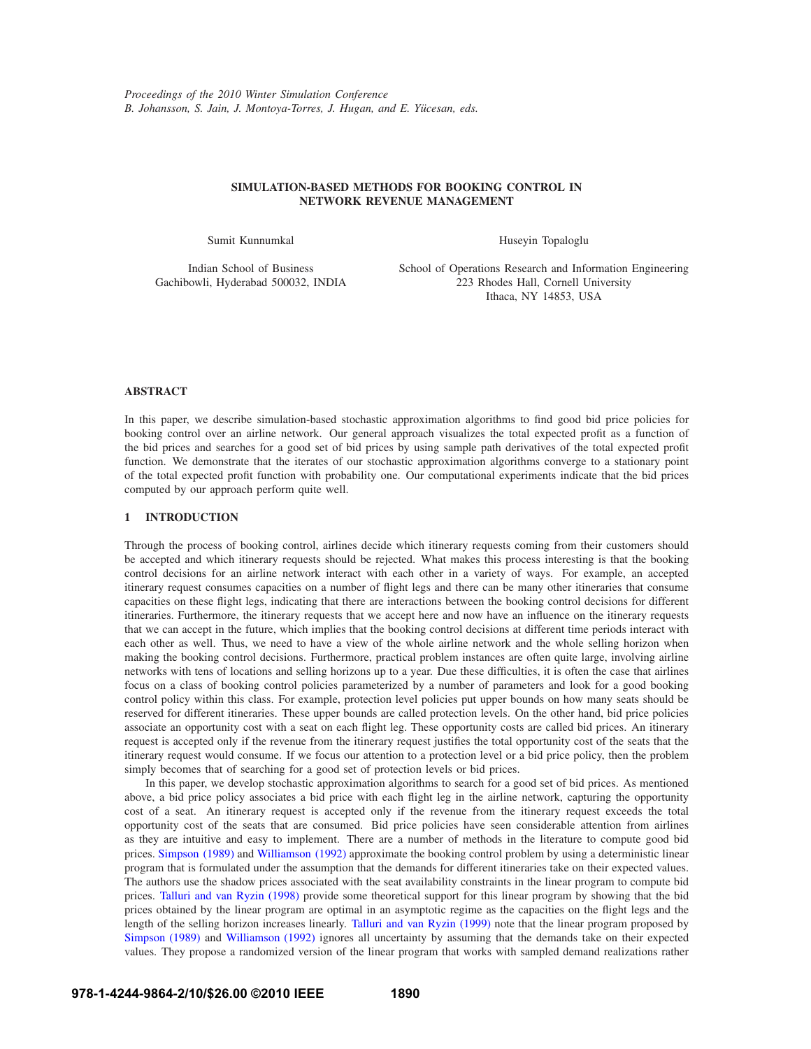# **SIMULATION-BASED METHODS FOR BOOKING CONTROL IN NETWORK REVENUE MANAGEMENT**

Sumit Kunnumkal

Huseyin Topaloglu

Indian School of Business Gachibowli, Hyderabad 500032, INDIA School of Operations Research and Information Engineering 223 Rhodes Hall, Cornell University Ithaca, NY 14853, USA

# **ABSTRACT**

In this paper, we describe simulation-based stochastic approximation algorithms to find good bid price policies for booking control over an airline network. Our general approach visualizes the total expected profit as a function of the bid prices and searches for a good set of bid prices by using sample path derivatives of the total expected profit function. We demonstrate that the iterates of our stochastic approximation algorithms converge to a stationary point of the total expected profit function with probability one. Our computational experiments indicate that the bid prices computed by our approach perform quite well.

# **1 INTRODUCTION**

Through the process of booking control, airlines decide which itinerary requests coming from their customers should be accepted and which itinerary requests should be rejected. What makes this process interesting is that the booking control decisions for an airline network interact with each other in a variety of ways. For example, an accepted itinerary request consumes capacities on a number of flight legs and there can be many other itineraries that consume capacities on these flight legs, indicating that there are interactions between the booking control decisions for different itineraries. Furthermore, the itinerary requests that we accept here and now have an influence on the itinerary requests that we can accept in the future, which implies that the booking control decisions at different time periods interact with each other as well. Thus, we need to have a view of the whole airline network and the whole selling horizon when making the booking control decisions. Furthermore, practical problem instances are often quite large, involving airline networks with tens of locations and selling horizons up to a year. Due these difficulties, it is often the case that airlines focus on a class of booking control policies parameterized by a number of parameters and look for a good booking control policy within this class. For example, protection level policies put upper bounds on how many seats should be reserved for different itineraries. These upper bounds are called protection levels. On the other hand, bid price policies associate an opportunity cost with a seat on each flight leg. These opportunity costs are called bid prices. An itinerary request is accepted only if the revenue from the itinerary request justifies the total opportunity cost of the seats that the itinerary request would consume. If we focus our attention to a protection level or a bid price policy, then the problem simply becomes that of searching for a good set of protection levels or bid prices.

In this paper, we develop stochastic approximation algorithms to search for a good set of bid prices. As mentioned above, a bid price policy associates a bid price with each flight leg in the airline network, capturing the opportunity cost of a seat. An itinerary request is accepted only if the revenue from the itinerary request exceeds the total opportunity cost of the seats that are consumed. Bid price policies have seen considerable attention from airlines as they are intuitive and easy to implement. There are a number of methods in the literature to compute good bid prices. Simpson (1989) and Williamson (1992) approximate the booking control problem by using a deterministic linear program that is formulated under the assumption that the demands for different itineraries take on their expected values. The authors use the shadow prices associated with the seat availability constraints in the linear program to compute bid prices. Talluri and van Ryzin (1998) provide some theoretical support for this linear program by showing that the bid prices obtained by the linear program are optimal in an asymptotic regime as the capacities on the flight legs and the length of the selling horizon increases linearly. Talluri and van Ryzin (1999) note that the linear program proposed by Simpson (1989) and Williamson (1992) ignores all uncertainty by assuming that the demands take on their expected values. They propose a randomized version of the linear program that works with sampled demand realizations rather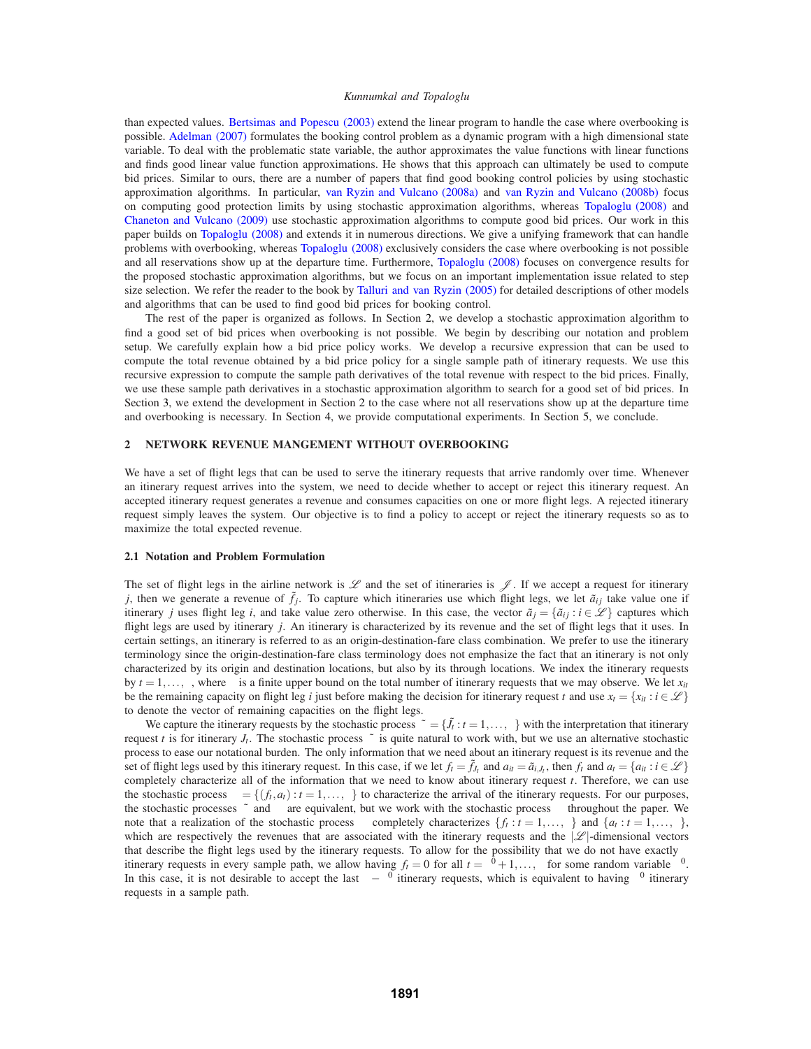than expected values. Bertsimas and Popescu (2003) extend the linear program to handle the case where overbooking is possible. Adelman (2007) formulates the booking control problem as a dynamic program with a high dimensional state variable. To deal with the problematic state variable, the author approximates the value functions with linear functions and finds good linear value function approximations. He shows that this approach can ultimately be used to compute bid prices. Similar to ours, there are a number of papers that find good booking control policies by using stochastic approximation algorithms. In particular, van Ryzin and Vulcano (2008a) and van Ryzin and Vulcano (2008b) focus on computing good protection limits by using stochastic approximation algorithms, whereas Topaloglu (2008) and Chaneton and Vulcano (2009) use stochastic approximation algorithms to compute good bid prices. Our work in this paper builds on Topaloglu (2008) and extends it in numerous directions. We give a unifying framework that can handle problems with overbooking, whereas Topaloglu (2008) exclusively considers the case where overbooking is not possible and all reservations show up at the departure time. Furthermore, Topaloglu (2008) focuses on convergence results for the proposed stochastic approximation algorithms, but we focus on an important implementation issue related to step size selection. We refer the reader to the book by Talluri and van Ryzin (2005) for detailed descriptions of other models and algorithms that can be used to find good bid prices for booking control.

The rest of the paper is organized as follows. In Section 2, we develop a stochastic approximation algorithm to find a good set of bid prices when overbooking is not possible. We begin by describing our notation and problem setup. We carefully explain how a bid price policy works. We develop a recursive expression that can be used to compute the total revenue obtained by a bid price policy for a single sample path of itinerary requests. We use this recursive expression to compute the sample path derivatives of the total revenue with respect to the bid prices. Finally, we use these sample path derivatives in a stochastic approximation algorithm to search for a good set of bid prices. In Section 3, we extend the development in Section 2 to the case where not all reservations show up at the departure time and overbooking is necessary. In Section 4, we provide computational experiments. In Section 5, we conclude.

# **2 NETWORK REVENUE MANGEMENT WITHOUT OVERBOOKING**

We have a set of flight legs that can be used to serve the itinerary requests that arrive randomly over time. Whenever an itinerary request arrives into the system, we need to decide whether to accept or reject this itinerary request. An accepted itinerary request generates a revenue and consumes capacities on one or more flight legs. A rejected itinerary request simply leaves the system. Our objective is to find a policy to accept or reject the itinerary requests so as to maximize the total expected revenue.

### **2.1 Notation and Problem Formulation**

The set of flight legs in the airline network is  $\mathscr L$  and the set of itineraries is  $\mathscr I$ . If we accept a request for itinerary *j*, then we generate a revenue of  $\tilde{f}_i$ . To capture which itineraries use which flight legs, we let  $\tilde{a}_{ij}$  take value one if itinerary *j* uses flight leg *i*, and take value zero otherwise. In this case, the vector  $\tilde{a}_i = \{\tilde{a}_{ij} : i \in \mathcal{L}\}\$  captures which flight legs are used by itinerary *j*. An itinerary is characterized by its revenue and the set of flight legs that it uses. In certain settings, an itinerary is referred to as an origin-destination-fare class combination. We prefer to use the itinerary terminology since the origin-destination-fare class terminology does not emphasize the fact that an itinerary is not only characterized by its origin and destination locations, but also by its through locations. We index the itinerary requests by  $t = 1, \ldots, \tau$ , where  $\tau$  is a finite upper bound on the total number of itinerary requests that we may observe. We let  $x_{it}$ be the remaining capacity on flight leg *i* just before making the decision for itinerary request *t* and use  $x_t = \{x_{it} : i \in \mathcal{L}\}\$ to denote the vector of remaining capacities on the flight legs.

We capture the itinerary requests by the stochastic process  $\tilde{\omega} = \{\tilde{J}_t : t = 1, \ldots, \tau\}$  with the interpretation that itinerary request *t* is for itinerary *J<sub>t</sub>*. The stochastic process  $\tilde{\omega}$  is quite natural to work with, but we use an alternative stochastic process to ease our notational burden. The only information that we need about an itinerary request is its revenue and the set of flight legs used by this itinerary request. In this case, if we let  $f_t = \tilde{f}_t$  and  $a_{it} = \tilde{a}_{i,t}$ , then  $f_t$  and  $a_t = \{a_{it} : i \in \mathcal{L}\}\$ completely characterize all of the information that we need to know about itinerary request *t*. Therefore, we can use the stochastic process  $\omega = \{(f_t, a_t) : t = 1, \ldots, \tau\}$  to characterize the arrival of the itinerary requests. For our purposes, the stochastic processes  $\tilde{\omega}$  and  $\omega$  are equivalent, but we work with the stochastic process  $\omega$  throughout the paper. We note that a realization of the stochastic process  $\omega$  completely characterizes  $\{f_t : t = 1, \ldots, \tau\}$  and  $\{a_t : t = 1, \ldots, \tau\}$ , which are respectively the revenues that are associated with the itinerary requests and the  $|\mathscr{L}|$ -dimensional vectors that describe the flight legs used by the itinerary requests. To allow for the possibility that we do not have exactly  $τ$ itinerary requests in every sample path, we allow having  $f_t = 0$  for all  $t = \tau^0 + 1, \ldots, \tau$  for some random variable  $\tau^0$ . In this case, it is not desirable to accept the last  $\tau - \tau^0$  itinerary requests, which is equivalent to having  $\tau^0$  itinerary requests in a sample path.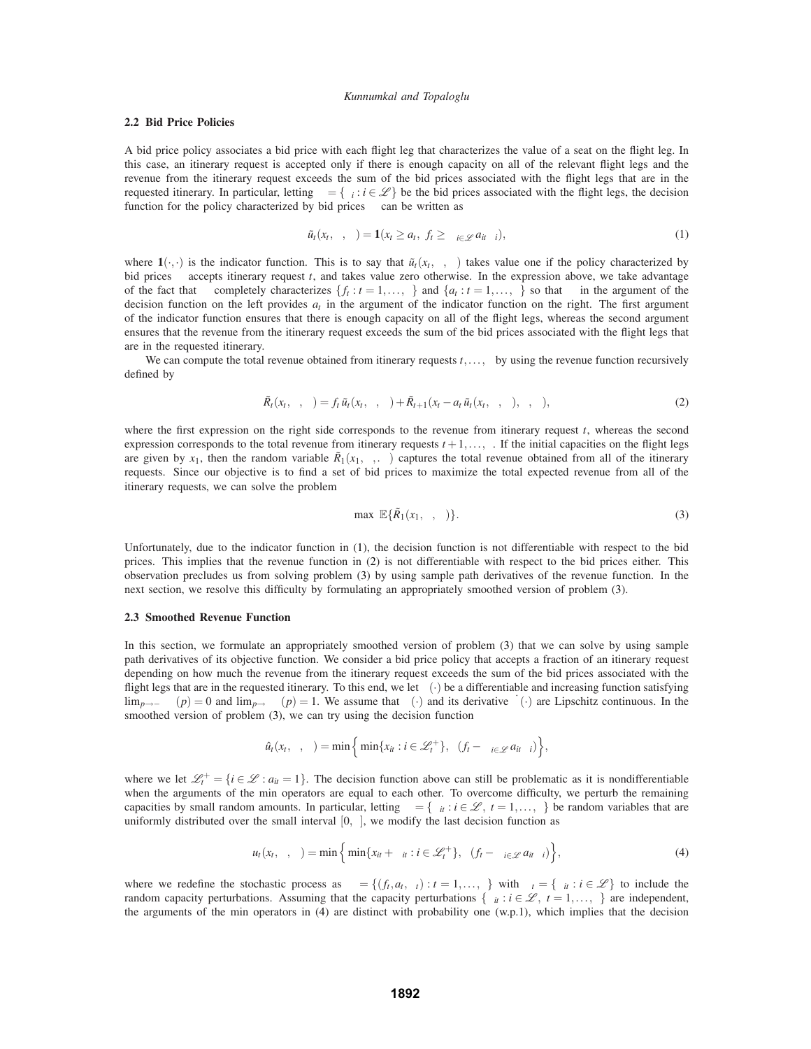## **2.2 Bid Price Policies**

A bid price policy associates a bid price with each flight leg that characterizes the value of a seat on the flight leg. In this case, an itinerary request is accepted only if there is enough capacity on all of the relevant flight legs and the revenue from the itinerary request exceeds the sum of the bid prices associated with the flight legs that are in the requested itinerary. In particular, letting  $\lambda = {\lambda_i : i \in \mathcal{L}}$  be the bid prices associated with the flight legs, the decision function for the policy characterized by bid prices  $\lambda$  can be written as

$$
\tilde{u}_t(x_t,\lambda,\omega) = \mathbf{1}(x_t \geq a_t, \ f_t \geq \sum_{i \in \mathscr{L}} a_{it} \lambda_i), \tag{1}
$$

where  $\mathbf{1}(\cdot,\cdot)$  is the indicator function. This is to say that  $\tilde{u}_t(x_t,\lambda,\omega)$  takes value one if the policy characterized by bid prices  $\lambda$  accepts itinerary request *t*, and takes value zero otherwise. In the expression above, we take advantage of the fact that  $\omega$  completely characterizes  $\{f_t : t = 1, \ldots, \tau\}$  and  $\{a_t : t = 1, \ldots, \tau\}$  so that  $\omega$  in the argument of the decision function on the left provides  $a<sub>t</sub>$  in the argument of the indicator function on the right. The first argument of the indicator function ensures that there is enough capacity on all of the flight legs, whereas the second argument ensures that the revenue from the itinerary request exceeds the sum of the bid prices associated with the flight legs that are in the requested itinerary.

We can compute the total revenue obtained from itinerary requests  $t, \ldots, \tau$  by using the revenue function recursively defined by

$$
\tilde{R}_t(x_t, \lambda, \omega) = f_t \tilde{u}_t(x_t, \lambda, \omega) + \tilde{R}_{t+1}(x_t - a_t \tilde{u}_t(x_t, \lambda, \omega), \lambda, \omega), \qquad (2)
$$

where the first expression on the right side corresponds to the revenue from itinerary request *t*, whereas the second expression corresponds to the total revenue from itinerary requests  $t + 1, \ldots, \tau$ . If the initial capacities on the flight legs are given by  $x_1$ , then the random variable  $\tilde{R}_1(x_1,\lambda,\omega)$  captures the total revenue obtained from all of the itinerary requests. Since our objective is to find a set of bid prices to maximize the total expected revenue from all of the itinerary requests, we can solve the problem

$$
\max_{\lambda} \ \mathbb{E}\{\tilde{R}_1(x_1,\lambda,\omega)\}.
$$
 (3)

Unfortunately, due to the indicator function in (1), the decision function is not differentiable with respect to the bid prices. This implies that the revenue function in (2) is not differentiable with respect to the bid prices either. This observation precludes us from solving problem (3) by using sample path derivatives of the revenue function. In the next section, we resolve this difficulty by formulating an appropriately smoothed version of problem (3).

### **2.3 Smoothed Revenue Function**

In this section, we formulate an appropriately smoothed version of problem (3) that we can solve by using sample path derivatives of its objective function. We consider a bid price policy that accepts a fraction of an itinerary request depending on how much the revenue from the itinerary request exceeds the sum of the bid prices associated with the flight legs that are in the requested itinerary. To this end, we let  $\theta(\cdot)$  be a differentiable and increasing function satisfying  $\lim_{p\to\infty} \theta(p) = 0$  and  $\lim_{p\to\infty} \theta(p) = 1$ . We assume that  $\theta(\cdot)$  and its derivative  $\theta(\cdot)$  are Lipschitz continuous. In the smoothed version of problem (3), we can try using the decision function

$$
\hat{u}_t(x_t,\lambda,\omega)=\min\Big\{\min\{x_{it}:i\in\mathscr{L}_t^+\},\theta(f_t-\Sigma_{i\in\mathscr{L}}a_{it}\lambda_i)\Big\},\,
$$

where we let  $\mathcal{L}_t^+ = \{i \in \mathcal{L} : a_{it} = 1\}$ . The decision function above can still be problematic as it is nondifferentiable when the arguments of the min operators are equal to each other. To overcome difficulty, we perturb the remaining capacities by small random amounts. In particular, letting  $\alpha = \{ \alpha_{it} : i \in \mathcal{L}, t = 1, ..., \tau \}$  be random variables that are uniformly distributed over the small interval [0, $\varepsilon$ ], we modify the last decision function as

$$
u_t(x_t, \lambda, \omega) = \min \left\{ \min \{x_{it} + \alpha_{it} : i \in \mathcal{L}_t^+ \}, \theta(f_t - \sum_{i \in \mathcal{L}} a_{it} \lambda_i) \right\},\tag{4}
$$

where we redefine the stochastic process as  $\omega = \{ (f_t, a_t, \alpha_t) : t = 1, \dots, \tau \}$  with  $\alpha_t = \{ \alpha_{it} : i \in \mathcal{L} \}$  to include the random capacity perturbations. Assuming that the capacity perturbations  $\{\alpha_{it}: i \in \mathcal{L}, t = 1, \ldots, \tau\}$  are independent, the arguments of the min operators in (4) are distinct with probability one (w.p.1), which implies that the decision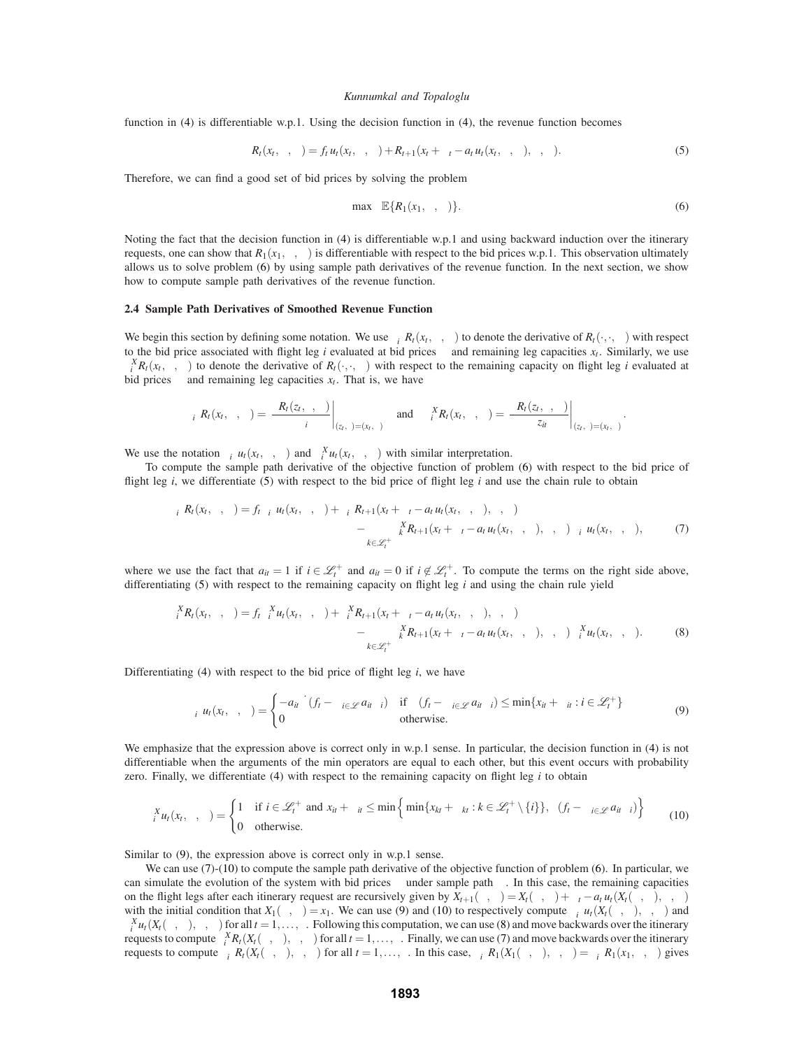function in (4) is differentiable w.p.1. Using the decision function in (4), the revenue function becomes

$$
R_t(x_t, \lambda, \omega) = f_t u_t(x_t, \lambda, \omega) + R_{t+1}(x_t + \alpha_t - a_t u_t(x_t, \lambda, \omega), \lambda, \omega).
$$
\n
$$
(5)
$$

Therefore, we can find a good set of bid prices by solving the problem

$$
\max_{\lambda} \mathbb{E}\{R_1(x_1,\lambda,\omega)\}.
$$
 (6)

Noting the fact that the decision function in (4) is differentiable w.p.1 and using backward induction over the itinerary requests, one can show that  $R_1(x_1,\lambda,\omega)$  is differentiable with respect to the bid prices w.p.1. This observation ultimately allows us to solve problem (6) by using sample path derivatives of the revenue function. In the next section, we show how to compute sample path derivatives of the revenue function.

## **2.4 Sample Path Derivatives of Smoothed Revenue Function**

We begin this section by defining some notation. We use  $\partial_i^{\Lambda} R_t(x_t, \lambda, \omega)$  to denote the derivative of  $R_t(\cdot, \cdot, \omega)$  with respect to the bid price associated with flight leg *i* evaluated at bid prices  $\lambda$  and remaining leg capacities  $x_t$ . Similarly, we use  $\partial_i^X R_t(x_t, \lambda, \omega)$  to denote the derivative of  $R_t(\cdot, \cdot, \omega)$  with respect to the remaining capacity on flight leg *i* evaluated at bid prices  $\lambda$  and remaining leg capacities  $x_t$ . That is, we have

$$
\left. \partial_i^{\Lambda} R_t(x_t, \lambda, \omega) = \frac{\partial R_t(z_t, \gamma, \omega)}{\partial \gamma_i} \right|_{(z_t, \gamma) = (x_t, \lambda)} \quad \text{and} \quad \left. \partial_i^X R_t(x_t, \lambda, \omega) = \frac{\partial R_t(z_t, \gamma, \omega)}{\partial z_{it}} \right|_{(z_t, \gamma) = (x_t, \lambda)}.
$$

We use the notation  $\partial_i^{\Lambda} u_t(x_t, \lambda, \omega)$  and  $\partial_i^X u_t(x_t, \lambda, \omega)$  with similar interpretation.

To compute the sample path derivative of the objective function of problem (6) with respect to the bid price of flight leg *i*, we differentiate (5) with respect to the bid price of flight leg *i* and use the chain rule to obtain

$$
\partial_i^{\Lambda} R_t(x_t, \lambda, \omega) = f_t \partial_i^{\Lambda} u_t(x_t, \lambda, \omega) + \partial_i^{\Lambda} R_{t+1}(x_t + \alpha_t - a_t u_t(x_t, \lambda, \omega), \lambda, \omega) - \sum_{k \in \mathcal{L}_t^+} \partial_k^X R_{t+1}(x_t + \alpha_t - a_t u_t(x_t, \lambda, \omega), \lambda, \omega) \partial_i^{\Lambda} u_t(x_t, \lambda, \omega), \tag{7}
$$

where we use the fact that  $a_{it} = 1$  if  $i \in \mathcal{L}_t^+$  and  $a_{it} = 0$  if  $i \notin \mathcal{L}_t^+$ . To compute the terms on the right side above, differentiating (5) with respect to the remaining capacity on flight leg *i* and using the chain rule yield

$$
\partial_i^X R_t(x_t, \lambda, \omega) = f_t \partial_i^X u_t(x_t, \lambda, \omega) + \partial_i^X R_{t+1}(x_t + \alpha_t - a_t u_t(x_t, \lambda, \omega), \lambda, \omega) - \sum_{k \in \mathcal{L}_t^+} \partial_k^X R_{t+1}(x_t + \alpha_t - a_t u_t(x_t, \lambda, \omega), \lambda, \omega) \partial_i^X u_t(x_t, \lambda, \omega).
$$
(8)

Differentiating (4) with respect to the bid price of flight leg *i*, we have

$$
\partial_i^{\Lambda} u_t(x_t, \lambda, \omega) = \begin{cases}\n-a_{it} \dot{\theta}(f_t - \sum_{i \in \mathcal{L}} a_{it} \lambda_i) & \text{if } \theta(f_t - \sum_{i \in \mathcal{L}} a_{it} \lambda_i) \leq \min\{x_{it} + \alpha_{it} : i \in \mathcal{L}_t^+\} \\
0 & \text{otherwise.}\n\end{cases}
$$
\n(9)

We emphasize that the expression above is correct only in w.p.1 sense. In particular, the decision function in (4) is not differentiable when the arguments of the min operators are equal to each other, but this event occurs with probability zero. Finally, we differentiate (4) with respect to the remaining capacity on flight leg *i* to obtain

$$
\partial_i^X u_t(x_t, \lambda, \omega) = \begin{cases} 1 & \text{if } i \in \mathcal{L}_t^+ \text{ and } x_{it} + \alpha_{it} \le \min\left\{\min\{x_{kt} + \alpha_{kt} : k \in \mathcal{L}_t^+ \setminus \{i\}\}, \theta(f_t - \sum_{i \in \mathcal{L}} a_{it} \lambda_i)\right\} \\ 0 & \text{otherwise.} \end{cases}
$$
(10)

Similar to (9), the expression above is correct only in w.p.1 sense.

We can use (7)-(10) to compute the sample path derivative of the objective function of problem (6). In particular, we can simulate the evolution of the system with bid prices  $\lambda$  under sample path  $\omega$ . In this case, the remaining capacities on the flight legs after each itinerary request are recursively given by  $X_{t+1}(\lambda, \omega) = X_t(\lambda, \omega) + \alpha_t - a_t u_t(X_t(\lambda, \omega), \lambda, \omega)$ with the initial condition that  $X_1(\lambda, \omega) = x_1$ . We can use (9) and (10) to respectively compute  $\partial_i^{\Lambda} u_t(X_t(\lambda, \omega), \lambda, \omega)$  and  $\partial_i^X u_t(X_t(\lambda, \omega), \lambda, \omega)$  for all  $t = 1, \ldots, \tau$ . Following this computation, we can use (8) and move backwards over the itinerary *i* requests to compute  $\partial_i^X R_t(X_t(\lambda, \omega), \lambda, \omega)$  for all  $t = 1, ..., \tau$ . Finally, we can use (7) and move backwards over the itinerary requests to compute  $\partial_i^{\Lambda} R_t(X_t(\lambda, \omega), \lambda, \omega)$  for all *t* = 1,...,τ. In this case,  $\partial_i^{\Lambda} R_1(X_1(\lambda, \omega), \lambda, \omega) = \partial_i^{\Lambda} R_1(x_1, \lambda, \omega)$  gives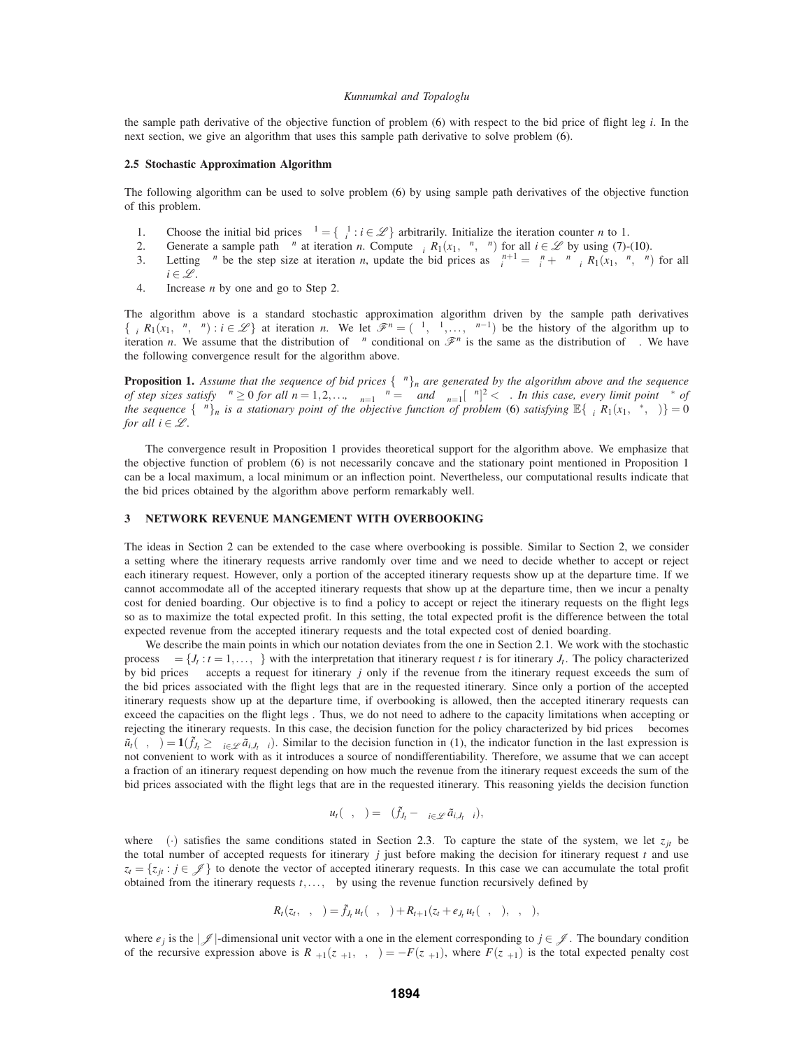the sample path derivative of the objective function of problem (6) with respect to the bid price of flight leg *i*. In the next section, we give an algorithm that uses this sample path derivative to solve problem (6).

## **2.5 Stochastic Approximation Algorithm**

The following algorithm can be used to solve problem (6) by using sample path derivatives of the objective function of this problem.

- 1. Choose the initial bid prices  $\lambda^1 = \{\lambda_i^1 : i \in \mathcal{L}\}\$ arbitrarily. Initialize the iteration counter *n* to 1.
- 2. Generate a sample path  $\omega^n$  at iteration *n*. Compute  $\partial_i^{\Lambda} R_1(x_1, \lambda^n, \omega^n)$  for all  $i \in \mathcal{L}$  by using (7)-(10).
- 3. Letting  $\sigma^n$  be the step size at iteration *n*, update the bid prices as  $\lambda_i^{n+1} = \lambda_i^n + \sigma^n \partial_i^{\Lambda} R_1(x_1, \lambda^n, \omega^n)$  for all  $i \in \mathcal{L}$ .
- 4. Increase *n* by one and go to Step 2.

The algorithm above is a standard stochastic approximation algorithm driven by the sample path derivatives  $\{\partial_i^{\Lambda}R_1(x_1,\lambda^n,\omega^n): i \in \mathcal{L}\}\$ at iteration *n*. We let  $\mathcal{F}^n = (\lambda^1,\omega^1,\ldots,\omega^{n-1})$  be the history of the algorithm up to iteration *n*. We assume that the distribution of  $\omega^n$  conditional on  $\mathcal{F}^n$  is the same as the distribution of  $\omega$ . We have the following convergence result for the algorithm above.

**Proposition 1.** Assume that the sequence of bid prices  $\{\lambda^n\}_n$  are generated by the algorithm above and the sequence *of step sizes satisfy*  $\sigma^n \geq 0$  *for all*  $n = 1, 2, \ldots$ ,  $\sum_{n=1}^{\infty} \sigma^n = \infty$  and  $\sum_{n=1}^{\infty} [\sigma^n]^2 < \infty$ . In this case, every limit point  $\lambda^*$  of *the sequence*  $\{\lambda^n\}_n$  *is a stationary point of the objective function of problem* (6) *satisfying*  $\mathbb{E}\{\partial_i^{\Lambda}R_1(x_1,\lambda^*,\omega)\}=0$ *for all*  $i \in \mathcal{L}$ *.* 

The convergence result in Proposition 1 provides theoretical support for the algorithm above. We emphasize that the objective function of problem (6) is not necessarily concave and the stationary point mentioned in Proposition 1 can be a local maximum, a local minimum or an inflection point. Nevertheless, our computational results indicate that the bid prices obtained by the algorithm above perform remarkably well.

# **3 NETWORK REVENUE MANGEMENT WITH OVERBOOKING**

The ideas in Section 2 can be extended to the case where overbooking is possible. Similar to Section 2, we consider a setting where the itinerary requests arrive randomly over time and we need to decide whether to accept or reject each itinerary request. However, only a portion of the accepted itinerary requests show up at the departure time. If we cannot accommodate all of the accepted itinerary requests that show up at the departure time, then we incur a penalty cost for denied boarding. Our objective is to find a policy to accept or reject the itinerary requests on the flight legs so as to maximize the total expected profit. In this setting, the total expected profit is the difference between the total expected revenue from the accepted itinerary requests and the total expected cost of denied boarding.

We describe the main points in which our notation deviates from the one in Section 2.1. We work with the stochastic process  $\omega = \{J_t : t = 1, \ldots, \tau\}$  with the interpretation that itinerary request *t* is for itinerary  $J_t$ . The policy characterized by bid prices  $\lambda$  accepts a request for itinerary *j* only if the revenue from the itinerary request exceeds the sum of the bid prices associated with the flight legs that are in the requested itinerary. Since only a portion of the accepted itinerary requests show up at the departure time, if overbooking is allowed, then the accepted itinerary requests can exceed the capacities on the flight legs . Thus, we do not need to adhere to the capacity limitations when accepting or rejecting the itinerary requests. In this case, the decision function for the policy characterized by bid prices  $λ$  becomes  $\tilde{u}_t(\lambda, \omega) = \mathbf{1}(f_{J_t} \geq \sum_{i \in \mathscr{L}} \tilde{a}_{i,J_t} \lambda_i)$ . Similar to the decision function in (1), the indicator function in the last expression is not convenient to work with as it introduces a source of nondifferentiability. Therefore, we assume that we can accept a fraction of an itinerary request depending on how much the revenue from the itinerary request exceeds the sum of the bid prices associated with the flight legs that are in the requested itinerary. This reasoning yields the decision function

$$
u_t(\lambda,\omega)=\theta(\tilde{f}_{J_t}-\sum_{i\in\mathscr{L}}\tilde{a}_{i,J_t}\lambda_i),
$$

where  $\theta(\cdot)$  satisfies the same conditions stated in Section 2.3. To capture the state of the system, we let  $z_{it}$  be the total number of accepted requests for itinerary  $j$  just before making the decision for itinerary request  $t$  and use  $z_t = \{z_{it} : j \in \mathcal{J}\}\)$  to denote the vector of accepted itinerary requests. In this case we can accumulate the total profit obtained from the itinerary requests  $t, \ldots, \tau$  by using the revenue function recursively defined by

$$
R_t(z_t,\lambda,\omega)=\tilde{f}_{J_t}u_t(\lambda,\omega)+R_{t+1}(z_t+e_{J_t}u_t(\lambda,\omega),\lambda,\omega),
$$

where  $e_j$  is the  $|\mathscr{J}|$ -dimensional unit vector with a one in the element corresponding to  $j \in \mathscr{J}$ . The boundary condition of the recursive expression above is  $R_{\tau+1}(z_{\tau+1},\lambda,\omega) = -F(z_{\tau+1})$ , where  $F(z_{\tau+1})$  is the total expected penalty cost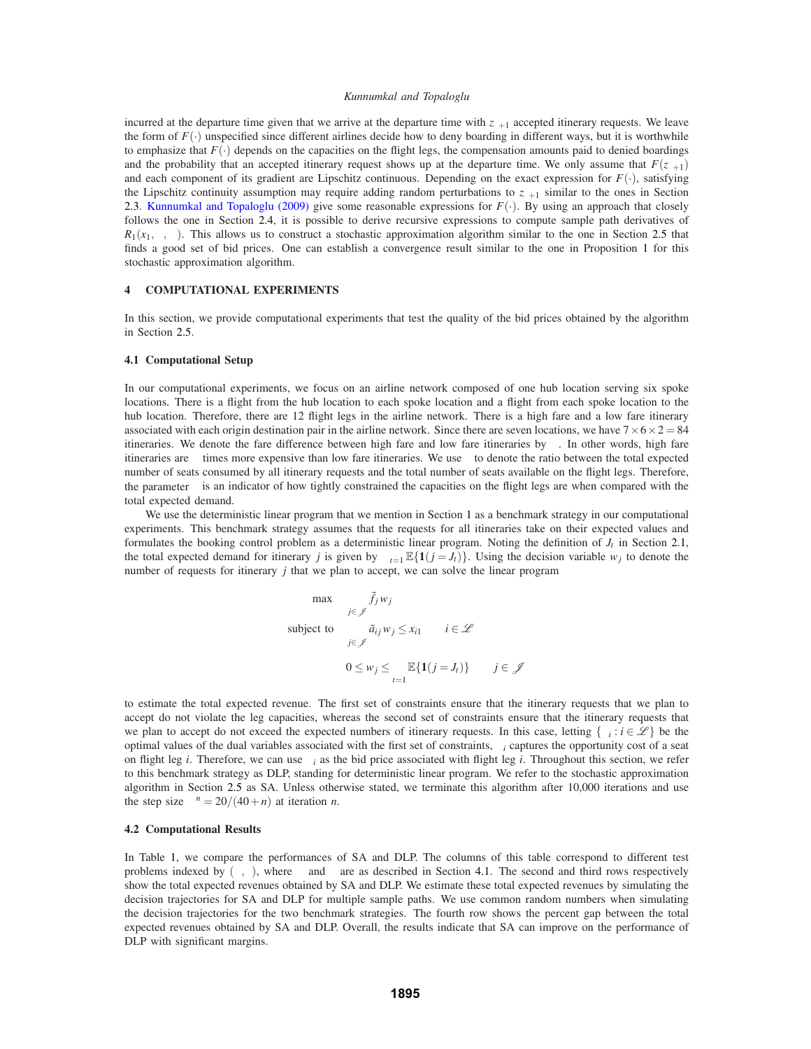incurred at the departure time given that we arrive at the departure time with  $z_{\tau+1}$  accepted itinerary requests. We leave the form of  $F(\cdot)$  unspecified since different airlines decide how to deny boarding in different ways, but it is worthwhile to emphasize that  $F(\cdot)$  depends on the capacities on the flight legs, the compensation amounts paid to denied boardings and the probability that an accepted itinerary request shows up at the departure time. We only assume that  $F(z_{\tau+1})$ and each component of its gradient are Lipschitz continuous. Depending on the exact expression for  $F(\cdot)$ , satisfying the Lipschitz continuity assumption may require adding random perturbations to  $z_{\tau+1}$  similar to the ones in Section 2.3. Kunnumkal and Topaloglu (2009) give some reasonable expressions for  $F(\cdot)$ . By using an approach that closely follows the one in Section 2.4, it is possible to derive recursive expressions to compute sample path derivatives of  $R_1(x_1,\lambda,\omega)$ . This allows us to construct a stochastic approximation algorithm similar to the one in Section 2.5 that finds a good set of bid prices. One can establish a convergence result similar to the one in Proposition 1 for this stochastic approximation algorithm.

# **4 COMPUTATIONAL EXPERIMENTS**

In this section, we provide computational experiments that test the quality of the bid prices obtained by the algorithm in Section 2.5.

### **4.1 Computational Setup**

In our computational experiments, we focus on an airline network composed of one hub location serving six spoke locations. There is a flight from the hub location to each spoke location and a flight from each spoke location to the hub location. Therefore, there are 12 flight legs in the airline network. There is a high fare and a low fare itinerary associated with each origin destination pair in the airline network. Since there are seven locations, we have  $7 \times 6 \times 2 = 84$ itineraries. We denote the fare difference between high fare and low fare itineraries by  $\kappa$ . In other words, high fare itineraries are  $\kappa$  times more expensive than low fare itineraries. We use  $\gamma$  to denote the ratio between the total expected number of seats consumed by all itinerary requests and the total number of seats available on the flight legs. Therefore, the parameter  $\gamma$  is an indicator of how tightly constrained the capacities on the flight legs are when compared with the total expected demand.

We use the deterministic linear program that we mention in Section 1 as a benchmark strategy in our computational experiments. This benchmark strategy assumes that the requests for all itineraries take on their expected values and formulates the booking control problem as a deterministic linear program. Noting the definition of  $J_t$  in Section 2.1, the total expected demand for itinerary *j* is given by  $\sum_{t=1}^{\tau} \mathbb{E}\{1(j = J_t)\}\)$ . Using the decision variable  $w_j$  to denote the number of requests for itinerary *j* that we plan to accept, we can solve the linear program

$$
\max \sum_{j \in \mathcal{J}} \tilde{f}_j w_j
$$
\n
$$
\text{subject to } \sum_{j \in \mathcal{J}} \tilde{a}_{ij} w_j \le x_{i1} \quad i \in \mathcal{L}
$$
\n
$$
0 \le w_j \le \sum_{t=1}^{\tau} \mathbb{E}\{\mathbf{1}(j = J_t)\} \quad j \in \mathcal{J}
$$

to estimate the total expected revenue. The first set of constraints ensure that the itinerary requests that we plan to accept do not violate the leg capacities, whereas the second set of constraints ensure that the itinerary requests that we plan to accept do not exceed the expected numbers of itinerary requests. In this case, letting  $\{u_i : i \in \mathcal{L}\}\$  be the optimal values of the dual variables associated with the first set of constraints,  $\mu_i$  captures the opportunity cost of a seat on flight leg *i*. Therefore, we can use  $\mu_i$  as the bid price associated with flight leg *i*. Throughout this section, we refer to this benchmark strategy as DLP, standing for deterministic linear program. We refer to the stochastic approximation algorithm in Section 2.5 as SA. Unless otherwise stated, we terminate this algorithm after 10,000 iterations and use the step size  $\sigma^n = 20/(40+n)$  at iteration *n*.

## **4.2 Computational Results**

In Table 1, we compare the performances of SA and DLP. The columns of this table correspond to different test problems indexed by  $(\kappa, \gamma)$ , where  $\kappa$  and  $\gamma$  are as described in Section 4.1. The second and third rows respectively show the total expected revenues obtained by SA and DLP. We estimate these total expected revenues by simulating the decision trajectories for SA and DLP for multiple sample paths. We use common random numbers when simulating the decision trajectories for the two benchmark strategies. The fourth row shows the percent gap between the total expected revenues obtained by SA and DLP. Overall, the results indicate that SA can improve on the performance of DLP with significant margins.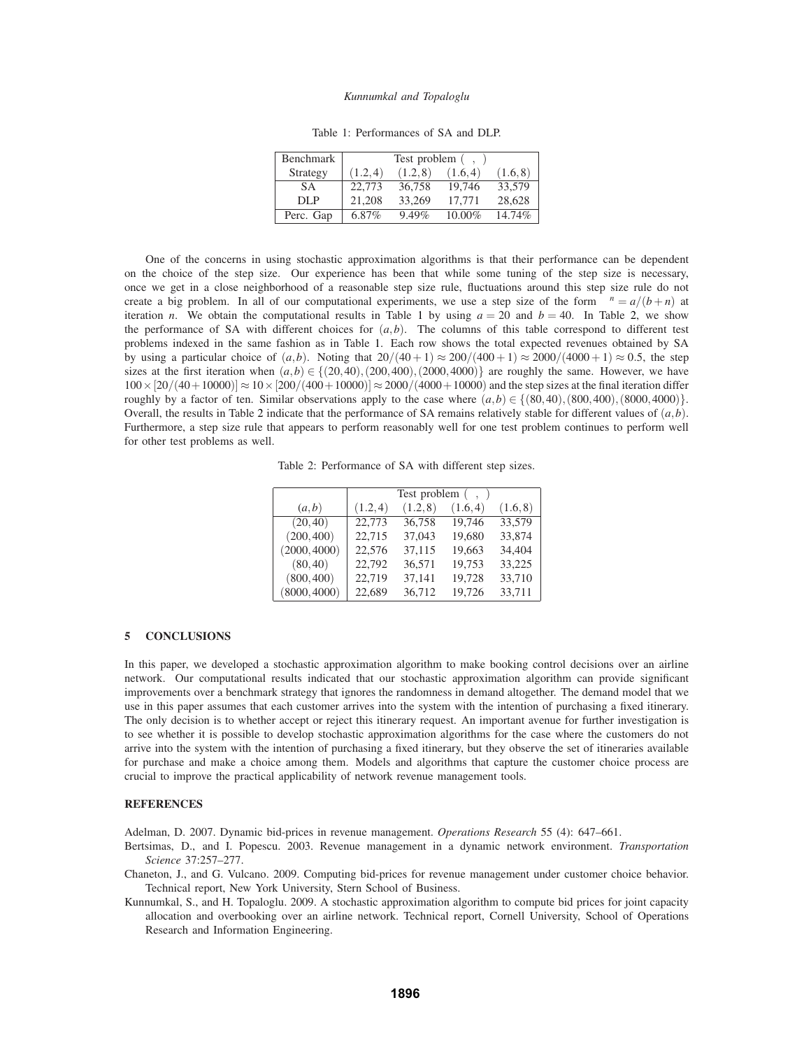| <b>Benchmark</b> | Test problem $(\kappa, \gamma)$ |          |          |           |  |
|------------------|---------------------------------|----------|----------|-----------|--|
| Strategy         | (1.2, 4)                        | (1.2, 8) | (1.6, 4) | (1.6, 8)  |  |
| <b>SA</b>        | 22,773                          | 36,758   | 19.746   | 33.579    |  |
| DLP              | 21.208                          | 33,269   | 17.771   | 28.628    |  |
| Perc. Gap        | 6.87%                           | 9.49%    | 10.00%   | $14.74\%$ |  |

Table 1: Performances of SA and DLP.

One of the concerns in using stochastic approximation algorithms is that their performance can be dependent on the choice of the step size. Our experience has been that while some tuning of the step size is necessary, once we get in a close neighborhood of a reasonable step size rule, fluctuations around this step size rule do not create a big problem. In all of our computational experiments, we use a step size of the form  $\sigma^n = a/(b+n)$  at iteration *n*. We obtain the computational results in Table 1 by using  $a = 20$  and  $b = 40$ . In Table 2, we show the performance of SA with different choices for  $(a, b)$ . The columns of this table correspond to different test problems indexed in the same fashion as in Table 1. Each row shows the total expected revenues obtained by SA by using a particular choice of  $(a,b)$ . Noting that  $20/(40+1) \approx 200/(400+1) \approx 2000/(4000+1) \approx 0.5$ , the step sizes at the first iteration when  $(a,b) \in \{(20,40), (200,400), (2000,4000)\}$  are roughly the same. However, we have  $100 \times [20/(40+10000)] \approx 10 \times [200/(400+10000)] \approx 2000/(4000+10000)$  and the step sizes at the final iteration differ roughly by a factor of ten. Similar observations apply to the case where  $(a,b) \in \{(80,40), (800,400), (8000,4000)\}.$ Overall, the results in Table 2 indicate that the performance of SA remains relatively stable for different values of  $(a, b)$ . Furthermore, a step size rule that appears to perform reasonably well for one test problem continues to perform well for other test problems as well.

Table 2: Performance of SA with different step sizes.

|              | Test problem $(\kappa, \gamma)$ |          |          |          |  |
|--------------|---------------------------------|----------|----------|----------|--|
| (a,b)        | (1.2, 4)                        | (1.2, 8) | (1.6, 4) | (1.6, 8) |  |
| (20, 40)     | 22,773                          | 36,758   | 19,746   | 33,579   |  |
| (200, 400)   | 22,715                          | 37,043   | 19,680   | 33,874   |  |
| (2000, 4000) | 22,576                          | 37,115   | 19,663   | 34,404   |  |
| (80, 40)     | 22,792                          | 36,571   | 19,753   | 33,225   |  |
| (800, 400)   | 22,719                          | 37,141   | 19,728   | 33,710   |  |
| (8000, 4000) | 22,689                          | 36,712   | 19,726   | 33,711   |  |

## **5 CONCLUSIONS**

In this paper, we developed a stochastic approximation algorithm to make booking control decisions over an airline network. Our computational results indicated that our stochastic approximation algorithm can provide significant improvements over a benchmark strategy that ignores the randomness in demand altogether. The demand model that we use in this paper assumes that each customer arrives into the system with the intention of purchasing a fixed itinerary. The only decision is to whether accept or reject this itinerary request. An important avenue for further investigation is to see whether it is possible to develop stochastic approximation algorithms for the case where the customers do not arrive into the system with the intention of purchasing a fixed itinerary, but they observe the set of itineraries available for purchase and make a choice among them. Models and algorithms that capture the customer choice process are crucial to improve the practical applicability of network revenue management tools.

### **REFERENCES**

Adelman, D. 2007. Dynamic bid-prices in revenue management. *Operations Research* 55 (4): 647–661.

- Bertsimas, D., and I. Popescu. 2003. Revenue management in a dynamic network environment. *Transportation Science* 37:257–277.
- Chaneton, J., and G. Vulcano. 2009. Computing bid-prices for revenue management under customer choice behavior. Technical report, New York University, Stern School of Business.
- Kunnumkal, S., and H. Topaloglu. 2009. A stochastic approximation algorithm to compute bid prices for joint capacity allocation and overbooking over an airline network. Technical report, Cornell University, School of Operations Research and Information Engineering.